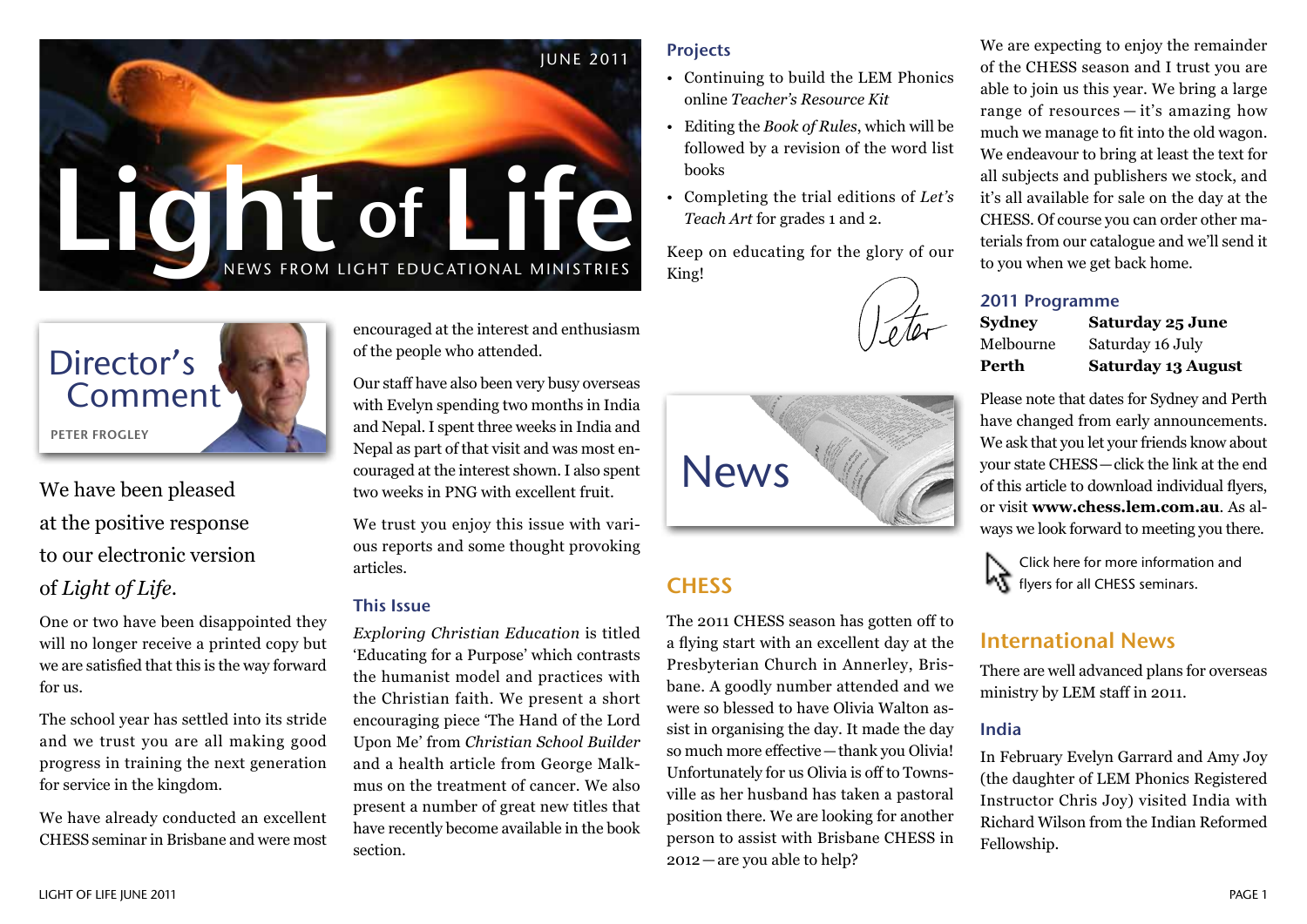

Director's Comment Peter Frogley

We have been pleased at the positive response to our electronic version of *Light of Life*.

One or two have been disappointed they will no longer receive a printed copy but we are satisfied that this is the way forward for us.

The school year has settled into its stride and we trust you are all making good progress in training the next generation for service in the kingdom.

We have already conducted an excellent CHESS seminar in Brisbane and were most encouraged at the interest and enthusiasm of the people who attended.

Our staff have also been very busy overseas with Evelyn spending two months in India and Nepal. I spent three weeks in India and Nepal as part of that visit and was most encouraged at the interest shown. I also spent two weeks in PNG with excellent fruit.

We trust you enjoy this issue with various reports and some thought provoking articles.

### This Issue

*Exploring Christian Education* is titled 'Educating for a Purpose' which contrasts the humanist model and practices with the Christian faith. We present a short encouraging piece 'The Hand of the Lord Upon Me' from *Christian School Builder*  and a health article from George Malkmus on the treatment of cancer. We also present a number of great new titles that have recently become available in the book section.

### **Projects**

- Continuing to build the LEM Phonics online *Teacher's Resource Kit*
- Editing the *Book of Rules*, which will be followed by a revision of the word list books
- Completing the trial editions of *Let's Teach Art* for grades 1 and 2.

Keep on educating for the glory of our King!



# **CHESS**

The 2011 CHESS season has gotten off to a flying start with an excellent day at the Presbyterian Church in Annerley, Brisbane. A goodly number attended and we were so blessed to have Olivia Walton assist in organising the day. It made the day so much more effective—thank you Olivia! Unfortunately for us Olivia is off to Townsville as her husband has taken a pastoral position there. We are looking for another person to assist with Brisbane CHESS in 2012—are you able to help?

We are expecting to enjoy the remainder of the CHESS season and I trust you are able to join us this year. We bring a large range of resources — it's amazing how much we manage to fit into the old wagon. We endeavour to bring at least the text for all subjects and publishers we stock, and it's all available for sale on the day at the CHESS. Of course you can order other materials from our catalogue and we'll send it to you when we get back home.

### 2011 Programme

**Sydney Saturday 25 June** Melbourne Saturday 16 July **Perth Saturday 13 August**

Please note that dates for Sydney and Perth have changed from early announcements. We ask that you let your friends know about your state CHESS—click the link at the end of this article to download individual flyers, or visit **www.chess.lem.com.au**. As always we look forward to meeting you there.



International News

There are well advanced plans for overseas ministry by LEM staff in 2011.

### India

In February Evelyn Garrard and Amy Joy (the daughter of LEM Phonics Registered Instructor Chris Joy) visited India with Richard Wilson from the Indian Reformed Fellowship.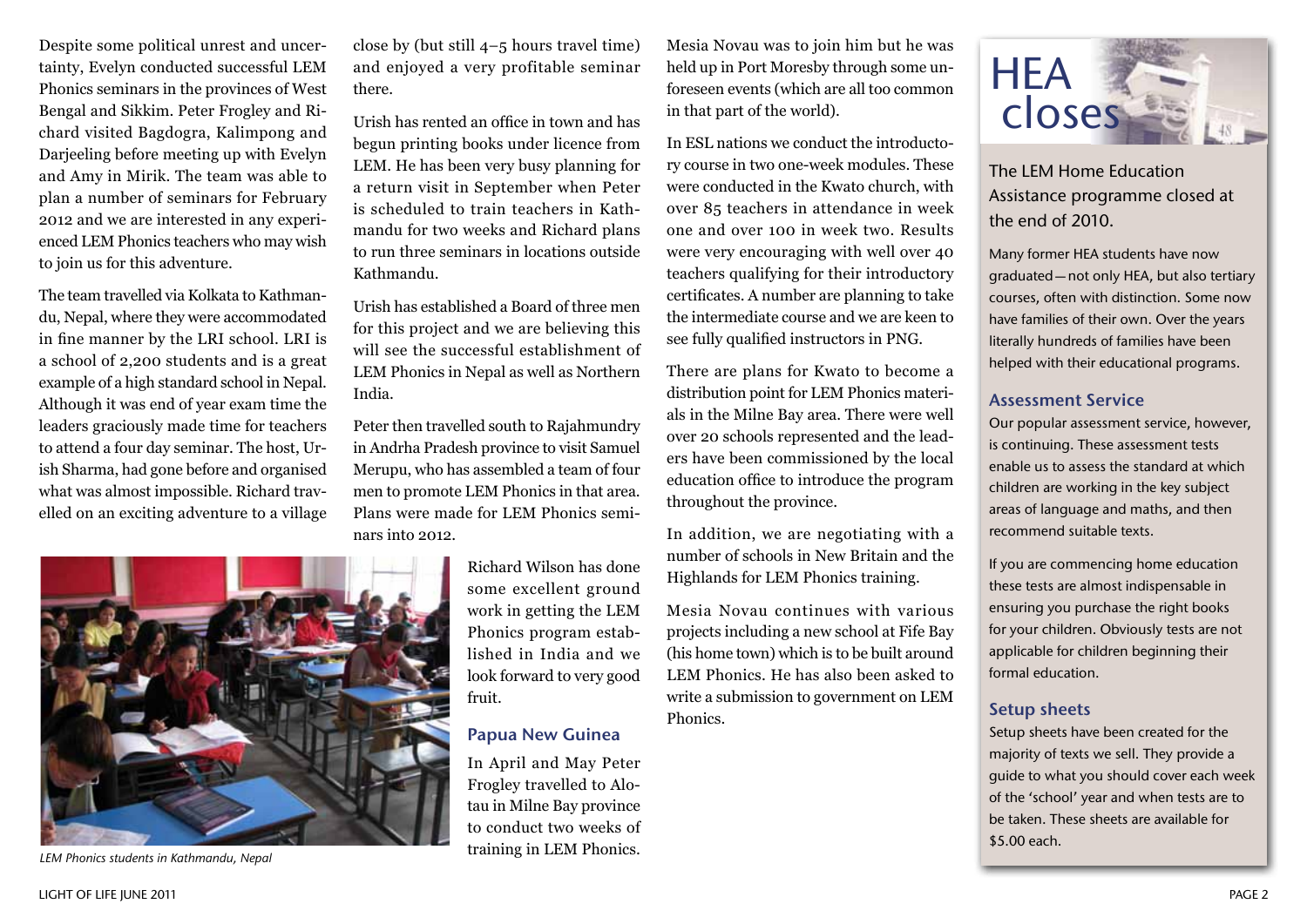Despite some political unrest and uncertainty, Evelyn conducted successful LEM Phonics seminars in the provinces of West Bengal and Sikkim. Peter Frogley and Richard visited Bagdogra, Kalimpong and Darjeeling before meeting up with Evelyn and Amy in Mirik. The team was able to plan a number of seminars for February 2012 and we are interested in any experienced LEM Phonics teachers who may wish to join us for this adventure.

The team travelled via Kolkata to Kathmandu, Nepal, where they were accommodated in fine manner by the LRI school. LRI is a school of 2,200 students and is a great example of a high standard school in Nepal. Although it was end of year exam time the leaders graciously made time for teachers to attend a four day seminar. The host, Urish Sharma, had gone before and organised what was almost impossible. Richard travelled on an exciting adventure to a village close by (but still 4–5 hours travel time) and enjoyed a very profitable seminar there.

Urish has rented an office in town and has begun printing books under licence from LEM. He has been very busy planning for a return visit in September when Peter is scheduled to train teachers in Kathmandu for two weeks and Richard plans to run three seminars in locations outside Kathmandu.

Urish has established a Board of three men for this project and we are believing this will see the successful establishment of LEM Phonics in Nepal as well as Northern India.

Peter then travelled south to Rajahmundry in Andrha Pradesh province to visit Samuel Merupu, who has assembled a team of four men to promote LEM Phonics in that area. Plans were made for LEM Phonics seminars into 2012.



*LEM Phonics students in Kathmandu, Nepal*

Richard Wilson has done some excellent ground work in getting the LEM Phonics program established in India and we look forward to very good fruit.

#### Papua New Guinea

In April and May Peter Frogley travelled to Alotau in Milne Bay province to conduct two weeks of training in LEM Phonics.

Mesia Novau was to join him but he was held up in Port Moresby through some unforeseen events (which are all too common in that part of the world).

In ESL nations we conduct the introductory course in two one-week modules. These were conducted in the Kwato church, with over 85 teachers in attendance in week one and over 100 in week two. Results were very encouraging with well over 40 teachers qualifying for their introductory certificates. A number are planning to take the intermediate course and we are keen to see fully qualified instructors in PNG.

There are plans for Kwato to become a distribution point for LEM Phonics materials in the Milne Bay area. There were well over 20 schools represented and the leaders have been commissioned by the local education office to introduce the program throughout the province.

In addition, we are negotiating with a number of schools in New Britain and the Highlands for LEM Phonics training.

Mesia Novau continues with various projects including a new school at Fife Bay (his home town) which is to be built around LEM Phonics. He has also been asked to write a submission to government on LEM Phonics.



The LEM Home Education Assistance programme closed at the end of 2010.

Many former HEA students have now graduated—not only HEA, but also tertiary courses, often with distinction. Some now have families of their own. Over the years literally hundreds of families have been helped with their educational programs.

### Assessment Service

Our popular assessment service, however, is continuing. These assessment tests enable us to assess the standard at which children are working in the key subject areas of language and maths, and then recommend suitable texts.

If you are commencing home education these tests are almost indispensable in ensuring you purchase the right books for your children. Obviously tests are not applicable for children beginning their formal education.

### Setup sheets

Setup sheets have been created for the majority of texts we sell. They provide a guide to what you should cover each week of the 'school' year and when tests are to be taken. These sheets are available for \$5.00 each.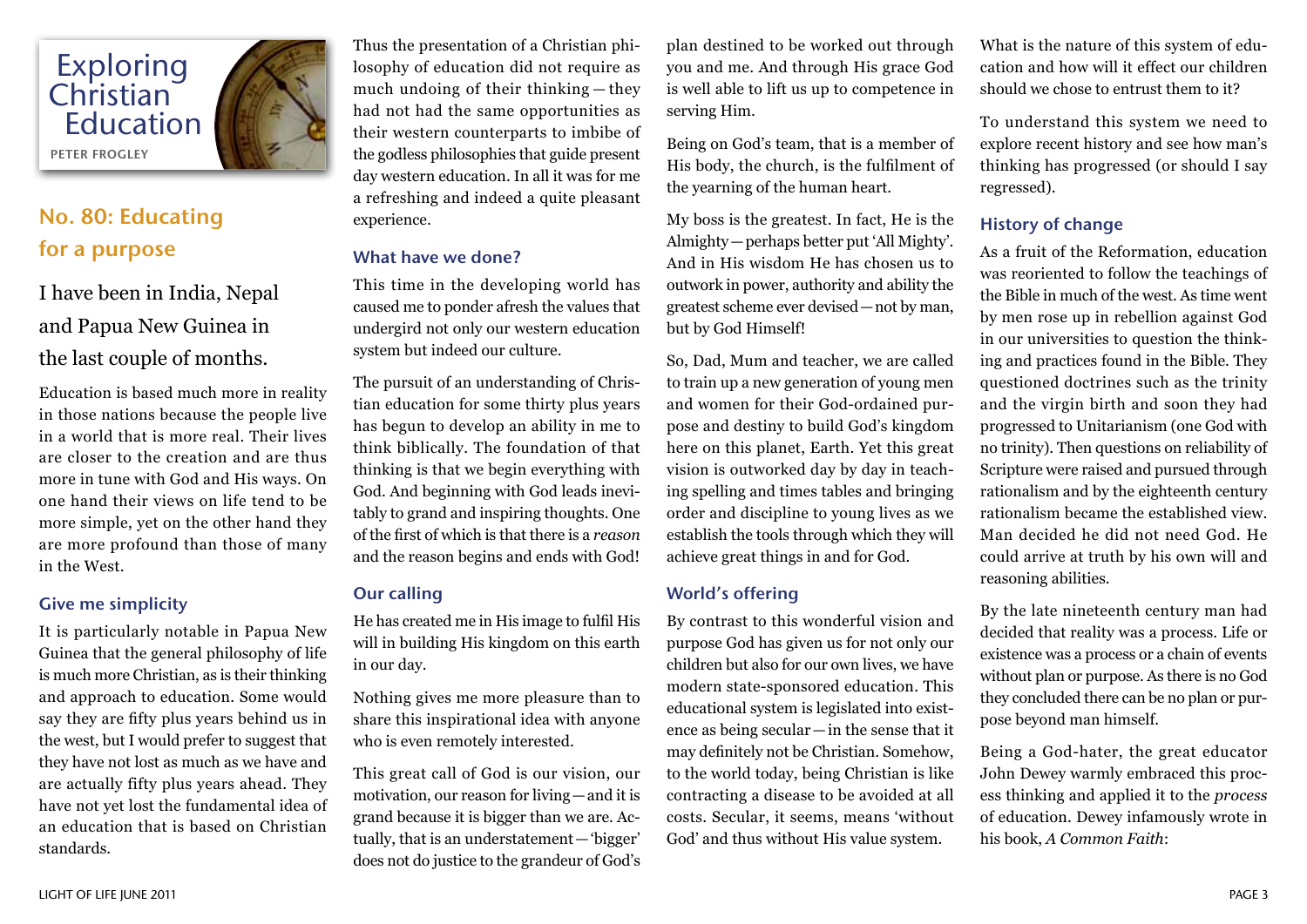

# No. 80: Educating for a purpose

I have been in India, Nepal and Papua New Guinea in the last couple of months.

Education is based much more in reality in those nations because the people live in a world that is more real. Their lives are closer to the creation and are thus more in tune with God and His ways. On one hand their views on life tend to be more simple, yet on the other hand they are more profound than those of many in the West.

#### Give me simplicity

It is particularly notable in Papua New Guinea that the general philosophy of life is much more Christian, as is their thinking and approach to education. Some would say they are fifty plus years behind us in the west, but I would prefer to suggest that they have not lost as much as we have and are actually fifty plus years ahead. They have not yet lost the fundamental idea of an education that is based on Christian standards.

Thus the presentation of a Christian philosophy of education did not require as much undoing of their thinking — they had not had the same opportunities as their western counterparts to imbibe of the godless philosophies that guide present day western education. In all it was for me a refreshing and indeed a quite pleasant experience.

### What have we done?

This time in the developing world has caused me to ponder afresh the values that undergird not only our western education system but indeed our culture.

The pursuit of an understanding of Christian education for some thirty plus years has begun to develop an ability in me to think biblically. The foundation of that thinking is that we begin everything with God. And beginning with God leads inevitably to grand and inspiring thoughts. One of the first of which is that there is a *reason*  and the reason begins and ends with God!

### Our calling

He has created me in His image to fulfil His will in building His kingdom on this earth in our day.

Nothing gives me more pleasure than to share this inspirational idea with anyone who is even remotely interested.

This great call of God is our vision, our motivation, our reason for living—and it is grand because it is bigger than we are. Actually, that is an understatement—'bigger' does not do justice to the grandeur of God's

plan destined to be worked out through you and me. And through His grace God is well able to lift us up to competence in serving Him.

Being on God's team, that is a member of His body, the church, is the fulfilment of the yearning of the human heart.

My boss is the greatest. In fact, He is the Almighty—perhaps better put 'All Mighty'. And in His wisdom He has chosen us to outwork in power, authority and ability the greatest scheme ever devised—not by man, but by God Himself!

So, Dad, Mum and teacher, we are called to train up a new generation of young men and women for their God-ordained purpose and destiny to build God's kingdom here on this planet, Earth. Yet this great vision is outworked day by day in teaching spelling and times tables and bringing order and discipline to young lives as we establish the tools through which they will achieve great things in and for God.

### World's offering

By contrast to this wonderful vision and purpose God has given us for not only our children but also for our own lives, we have modern state-sponsored education. This educational system is legislated into existence as being secular—in the sense that it may definitely not be Christian. Somehow, to the world today, being Christian is like contracting a disease to be avoided at all costs. Secular, it seems, means 'without God' and thus without His value system.

What is the nature of this system of education and how will it effect our children should we chose to entrust them to it?

To understand this system we need to explore recent history and see how man's thinking has progressed (or should I say regressed).

### History of change

As a fruit of the Reformation, education was reoriented to follow the teachings of the Bible in much of the west. As time went by men rose up in rebellion against God in our universities to question the thinking and practices found in the Bible. They questioned doctrines such as the trinity and the virgin birth and soon they had progressed to Unitarianism (one God with no trinity). Then questions on reliability of Scripture were raised and pursued through rationalism and by the eighteenth century rationalism became the established view. Man decided he did not need God. He could arrive at truth by his own will and reasoning abilities.

By the late nineteenth century man had decided that reality was a process. Life or existence was a process or a chain of events without plan or purpose. As there is no God they concluded there can be no plan or purpose beyond man himself.

Being a God-hater, the great educator John Dewey warmly embraced this process thinking and applied it to the *process*  of education. Dewey infamously wrote in his book, *A Common Faith*: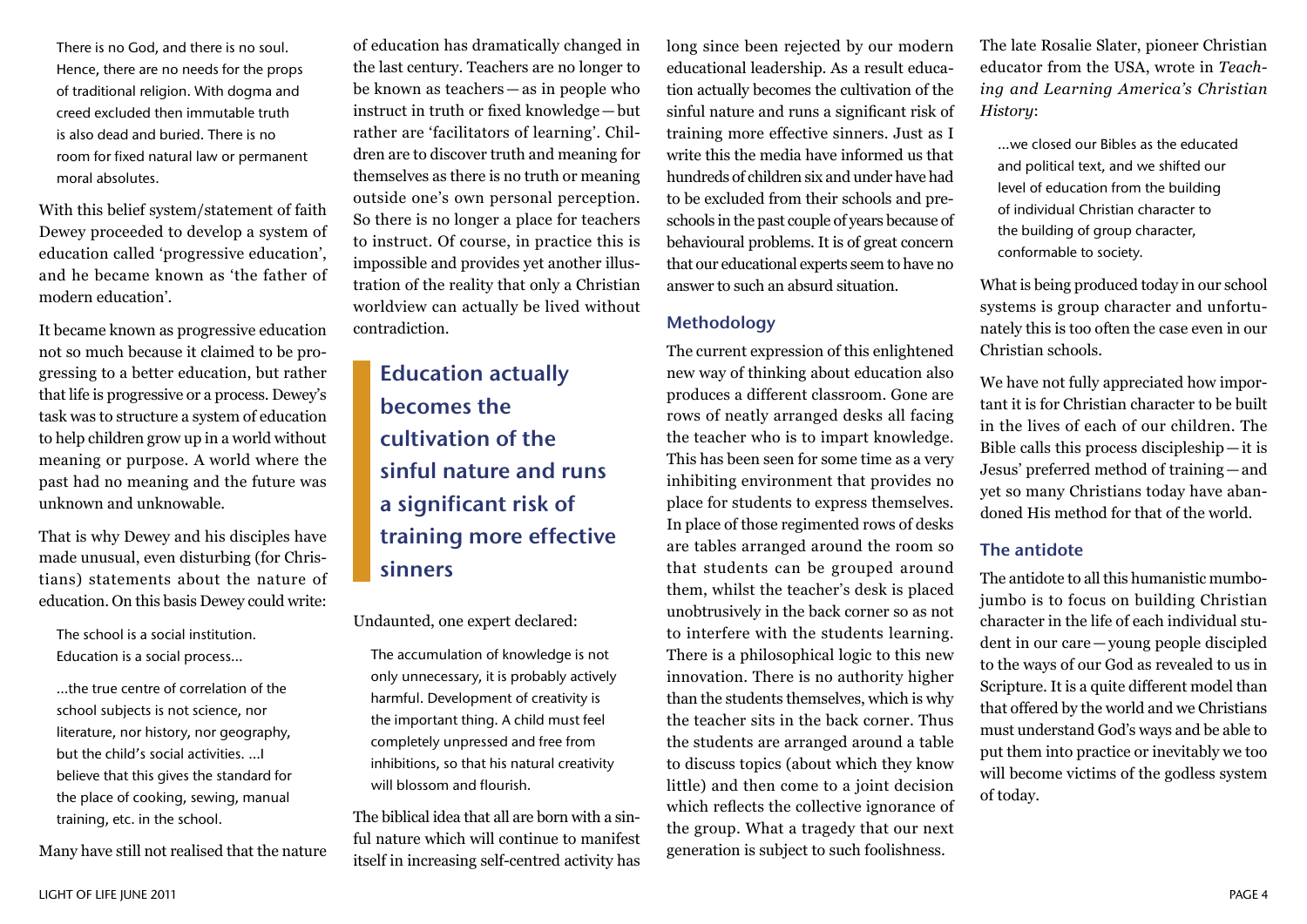There is no God, and there is no soul. Hence, there are no needs for the props of traditional religion. With dogma and creed excluded then immutable truth is also dead and buried. There is no room for fixed natural law or permanent moral absolutes.

With this belief system/statement of faith Dewey proceeded to develop a system of education called 'progressive education', and he became known as 'the father of modern education'.

It became known as progressive education not so much because it claimed to be progressing to a better education, but rather that life is progressive or a process. Dewey's task was to structure a system of education to help children grow up in a world without meaning or purpose. A world where the past had no meaning and the future was unknown and unknowable.

That is why Dewey and his disciples have made unusual, even disturbing (for Christians) statements about the nature of education. On this basis Dewey could write:

The school is a social institution. Education is a social process…

…the true centre of correlation of the school subjects is not science, nor literature, nor history, nor geography, but the child's social activities. …I believe that this gives the standard for the place of cooking, sewing, manual training, etc. in the school.

Many have still not realised that the nature

of education has dramatically changed in the last century. Teachers are no longer to be known as teachers — as in people who instruct in truth or fixed knowledge—but rather are 'facilitators of learning'. Children are to discover truth and meaning for themselves as there is no truth or meaning outside one's own personal perception. So there is no longer a place for teachers to instruct. Of course, in practice this is impossible and provides yet another illustration of the reality that only a Christian worldview can actually be lived without contradiction.

# Education actually becomes the cultivation of the sinful nature and runs a significant risk of training more effective sinners

Undaunted, one expert declared:

The accumulation of knowledge is not only unnecessary, it is probably actively harmful. Development of creativity is the important thing. A child must feel completely unpressed and free from inhibitions, so that his natural creativity will blossom and flourish.

The biblical idea that all are born with a sinful nature which will continue to manifest itself in increasing self-centred activity has

long since been rejected by our modern educational leadership. As a result education actually becomes the cultivation of the sinful nature and runs a significant risk of training more effective sinners. Just as I write this the media have informed us that hundreds of children six and under have had to be excluded from their schools and preschools in the past couple of years because of behavioural problems. It is of great concern that our educational experts seem to have no answer to such an absurd situation.

### Methodology

The current expression of this enlightened new way of thinking about education also produces a different classroom. Gone are rows of neatly arranged desks all facing the teacher who is to impart knowledge. This has been seen for some time as a very inhibiting environment that provides no place for students to express themselves. In place of those regimented rows of desks are tables arranged around the room so that students can be grouped around them, whilst the teacher's desk is placed unobtrusively in the back corner so as not to interfere with the students learning. There is a philosophical logic to this new innovation. There is no authority higher than the students themselves, which is why the teacher sits in the back corner. Thus the students are arranged around a table to discuss topics (about which they know little) and then come to a joint decision which reflects the collective ignorance of the group. What a tragedy that our next generation is subject to such foolishness.

The late Rosalie Slater, pioneer Christian educator from the USA, wrote in *Teaching and Learning America's Christian History*:

…we closed our Bibles as the educated and political text, and we shifted our level of education from the building of individual Christian character to the building of group character, conformable to society.

What is being produced today in our school systems is group character and unfortunately this is too often the case even in our Christian schools.

We have not fully appreciated how important it is for Christian character to be built in the lives of each of our children. The Bible calls this process discipleship—it is Jesus' preferred method of training—and yet so many Christians today have abandoned His method for that of the world.

### The antidote

The antidote to all this humanistic mumbojumbo is to focus on building Christian character in the life of each individual student in our care—young people discipled to the ways of our God as revealed to us in Scripture. It is a quite different model than that offered by the world and we Christians must understand God's ways and be able to put them into practice or inevitably we too will become victims of the godless system of today.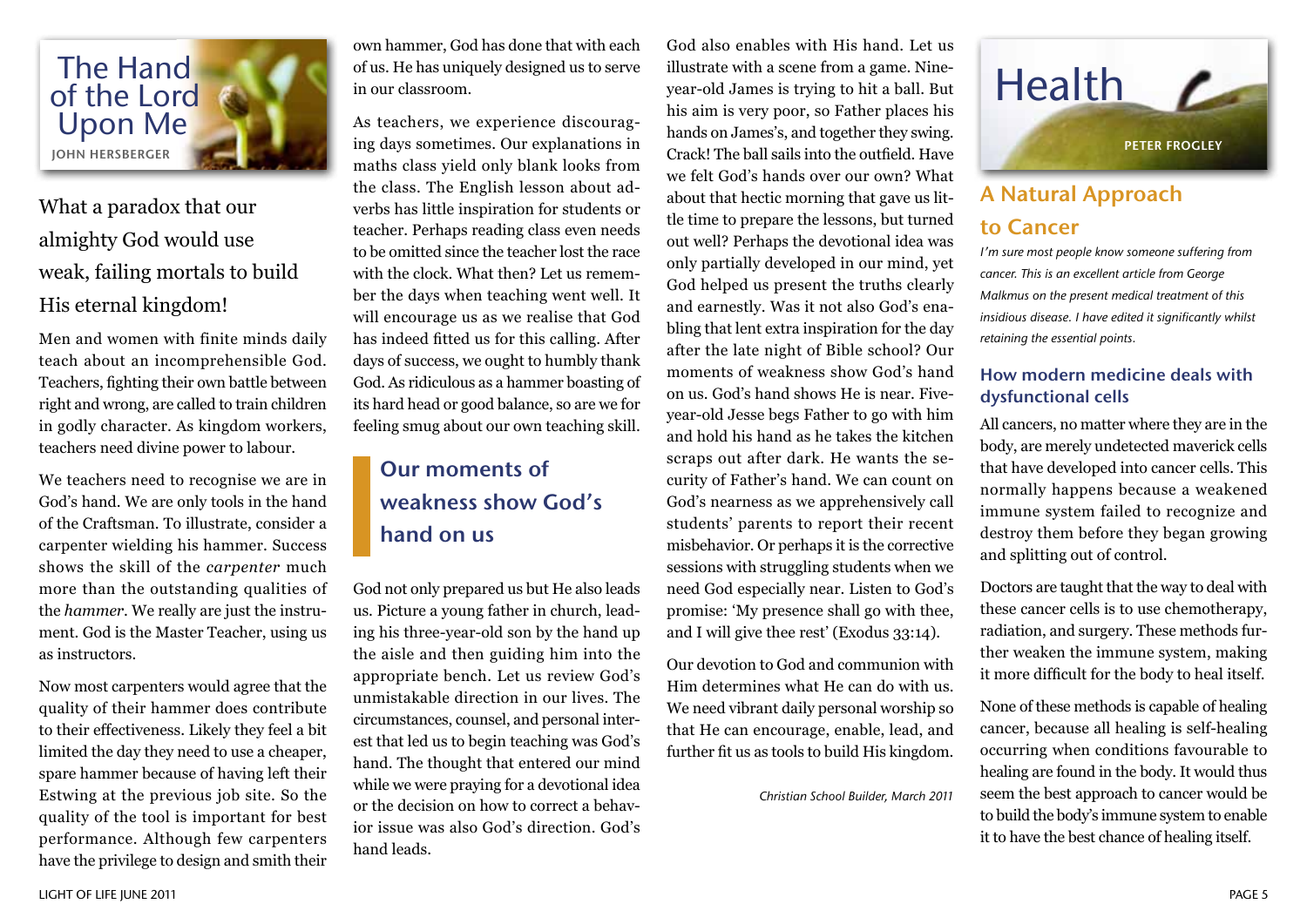

# What a paradox that our almighty God would use weak, failing mortals to build His eternal kingdom!

Men and women with finite minds daily teach about an incomprehensible God. Teachers, fighting their own battle between right and wrong, are called to train children in godly character. As kingdom workers, teachers need divine power to labour.

We teachers need to recognise we are in God's hand. We are only tools in the hand of the Craftsman. To illustrate, consider a carpenter wielding his hammer. Success shows the skill of the *carpenter* much more than the outstanding qualities of the *hammer*. We really are just the instrument. God is the Master Teacher, using us as instructors.

Now most carpenters would agree that the quality of their hammer does contribute to their effectiveness. Likely they feel a bit limited the day they need to use a cheaper, spare hammer because of having left their Estwing at the previous job site. So the quality of the tool is important for best performance. Although few carpenters have the privilege to design and smith their

own hammer, God has done that with each of us. He has uniquely designed us to serve in our classroom.

As teachers, we experience discouraging days sometimes. Our explanations in maths class yield only blank looks from the class. The English lesson about adverbs has little inspiration for students or teacher. Perhaps reading class even needs to be omitted since the teacher lost the race with the clock. What then? Let us remember the days when teaching went well. It will encourage us as we realise that God has indeed fitted us for this calling. After days of success, we ought to humbly thank God. As ridiculous as a hammer boasting of its hard head or good balance, so are we for feeling smug about our own teaching skill.

# Our moments of weakness show God's hand on us

God not only prepared us but He also leads us. Picture a young father in church, leading his three-year-old son by the hand up the aisle and then guiding him into the appropriate bench. Let us review God's unmistakable direction in our lives. The circumstances, counsel, and personal interest that led us to begin teaching was God's hand. The thought that entered our mind while we were praying for a devotional idea or the decision on how to correct a behavior issue was also God's direction. God's hand leads.

God also enables with His hand. Let us illustrate with a scene from a game. Nineyear-old James is trying to hit a ball. But his aim is very poor, so Father places his hands on James's, and together they swing. Crack! The ball sails into the outfield. Have we felt God's hands over our own? What about that hectic morning that gave us little time to prepare the lessons, but turned out well? Perhaps the devotional idea was only partially developed in our mind, yet God helped us present the truths clearly and earnestly. Was it not also God's enabling that lent extra inspiration for the day after the late night of Bible school? Our moments of weakness show God's hand on us. God's hand shows He is near. Fiveyear-old Jesse begs Father to go with him and hold his hand as he takes the kitchen scraps out after dark. He wants the security of Father's hand. We can count on God's nearness as we apprehensively call students' parents to report their recent misbehavior. Or perhaps it is the corrective sessions with struggling students when we need God especially near. Listen to God's promise: 'My presence shall go with thee, and I will give thee rest' (Exodus 33:14).

Our devotion to God and communion with Him determines what He can do with us. We need vibrant daily personal worship so that He can encourage, enable, lead, and further fit us as tools to build His kingdom.

*Christian School Builder, March 2011*



# A Natural Approach to Cancer

*I'm sure most people know someone suffering from cancer. This is an excellent article from George Malkmus on the present medical treatment of this insidious disease. I have edited it significantly whilst retaining the essential points.*

### How modern medicine deals with dysfunctional cells

All cancers, no matter where they are in the body, are merely undetected maverick cells that have developed into cancer cells. This normally happens because a weakened immune system failed to recognize and destroy them before they began growing and splitting out of control.

Doctors are taught that the way to deal with these cancer cells is to use chemotherapy, radiation, and surgery. These methods further weaken the immune system, making it more difficult for the body to heal itself.

None of these methods is capable of healing cancer, because all healing is self-healing occurring when conditions favourable to healing are found in the body. It would thus seem the best approach to cancer would be to build the body's immune system to enable it to have the best chance of healing itself.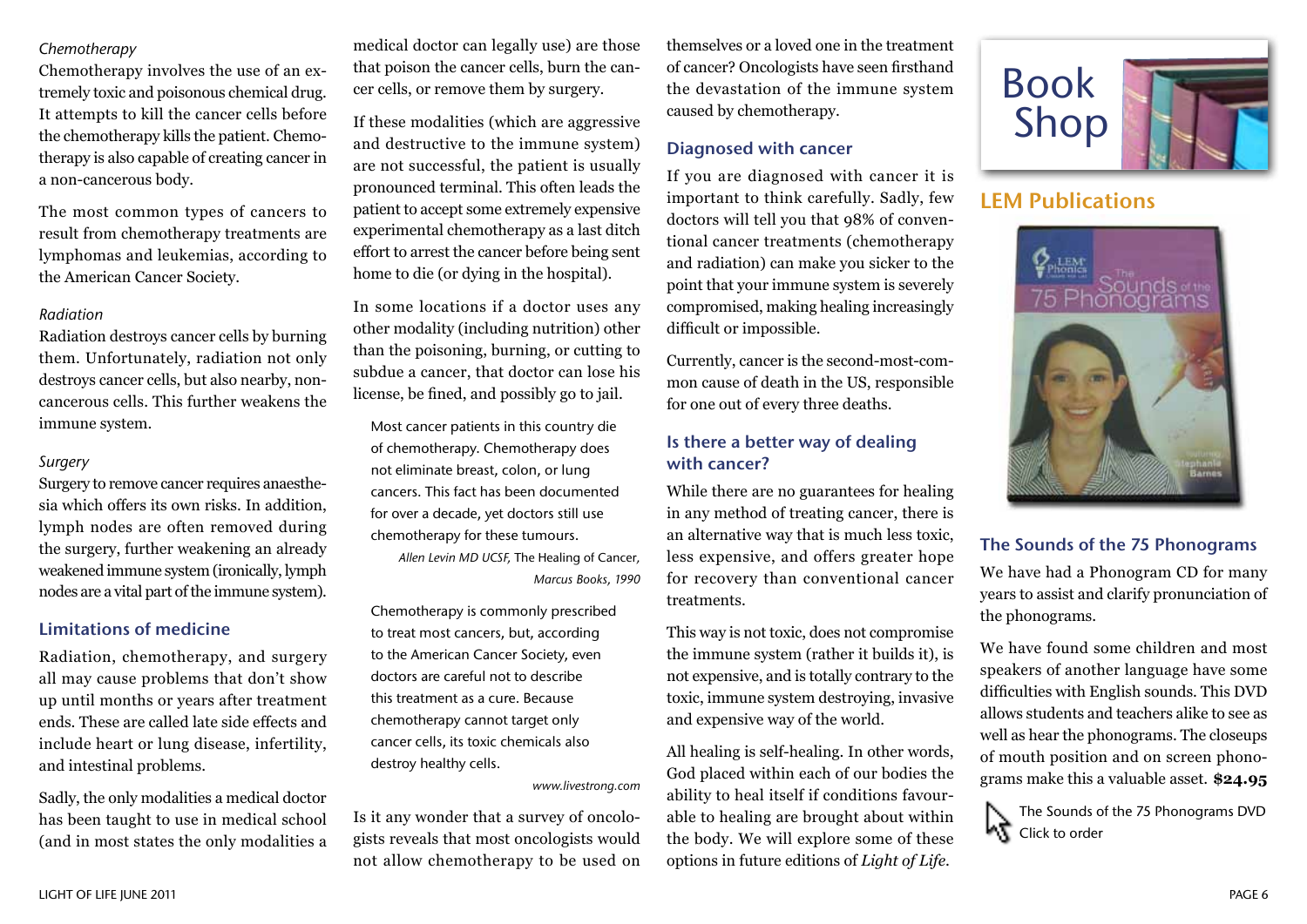#### *Chemotherapy*

Chemotherapy involves the use of an extremely toxic and poisonous chemical drug. It attempts to kill the cancer cells before the chemotherapy kills the patient. Chemotherapy is also capable of creating cancer in a non-cancerous body.

The most common types of cancers to result from chemotherapy treatments are lymphomas and leukemias, according to the American Cancer Society.

#### *Radiation*

Radiation destroys cancer cells by burning them. Unfortunately, radiation not only destroys cancer cells, but also nearby, noncancerous cells. This further weakens the immune system.

#### *Surgery*

Surgery to remove cancer requires anaesthesia which offers its own risks. In addition, lymph nodes are often removed during the surgery, further weakening an already weakened immune system (ironically, lymph nodes are a vital part of the immune system).

### Limitations of medicine

Radiation, chemotherapy, and surgery all may cause problems that don't show up until months or years after treatment ends. These are called late side effects and include heart or lung disease, infertility, and intestinal problems.

Sadly, the only modalities a medical doctor has been taught to use in medical school (and in most states the only modalities a medical doctor can legally use) are those that poison the cancer cells, burn the cancer cells, or remove them by surgery.

If these modalities (which are aggressive and destructive to the immune system) are not successful, the patient is usually pronounced terminal. This often leads the patient to accept some extremely expensive experimental chemotherapy as a last ditch effort to arrest the cancer before being sent home to die (or dying in the hospital).

In some locations if a doctor uses any other modality (including nutrition) other than the poisoning, burning, or cutting to subdue a cancer, that doctor can lose his license, be fined, and possibly go to jail.

Most cancer patients in this country die of chemotherapy. Chemotherapy does not eliminate breast, colon, or lung cancers. This fact has been documented for over a decade, yet doctors still use chemotherapy for these tumours.

> *Allen Levin MD UCSF,* The Healing of Cancer*, Marcus Books, 1990*

Chemotherapy is commonly prescribed to treat most cancers, but, according to the American Cancer Society, even doctors are careful not to describe this treatment as a cure. Because chemotherapy cannot target only cancer cells, its toxic chemicals also destroy healthy cells.

*www.livestrong.com*

Is it any wonder that a survey of oncologists reveals that most oncologists would not allow chemotherapy to be used on

themselves or a loved one in the treatment of cancer? Oncologists have seen firsthand the devastation of the immune system caused by chemotherapy.

### Diagnosed with cancer

If you are diagnosed with cancer it is important to think carefully. Sadly, few doctors will tell you that 98% of conventional cancer treatments (chemotherapy and radiation) can make you sicker to the point that your immune system is severely compromised, making healing increasingly difficult or impossible.

Currently, cancer is the second-most-common cause of death in the US, responsible for one out of every three deaths.

### Is there a better way of dealing with cancer?

While there are no guarantees for healing in any method of treating cancer, there is an alternative way that is much less toxic, less expensive, and offers greater hope for recovery than conventional cancer treatments.

This way is not toxic, does not compromise the immune system (rather it builds it), is not expensive, and is totally contrary to the toxic, immune system destroying, invasive and expensive way of the world.

All healing is self-healing. In other words, God placed within each of our bodies the ability to heal itself if conditions favourable to healing are brought about within the body. We will explore some of these options in future editions of *Light of Life*.



### LEM Publications



### The Sounds of the 75 Phonograms

We have had a Phonogram CD for many years to assist and clarify pronunciation of the phonograms.

We have found some children and most speakers of another language have some difficulties with English sounds. This DVD allows students and teachers alike to see as well as hear the phonograms. The closeups of mouth position and on screen phonograms make this a valuable asset. **\$24.95**

The Sounds of the 75 Phonograms DVD **Click to order**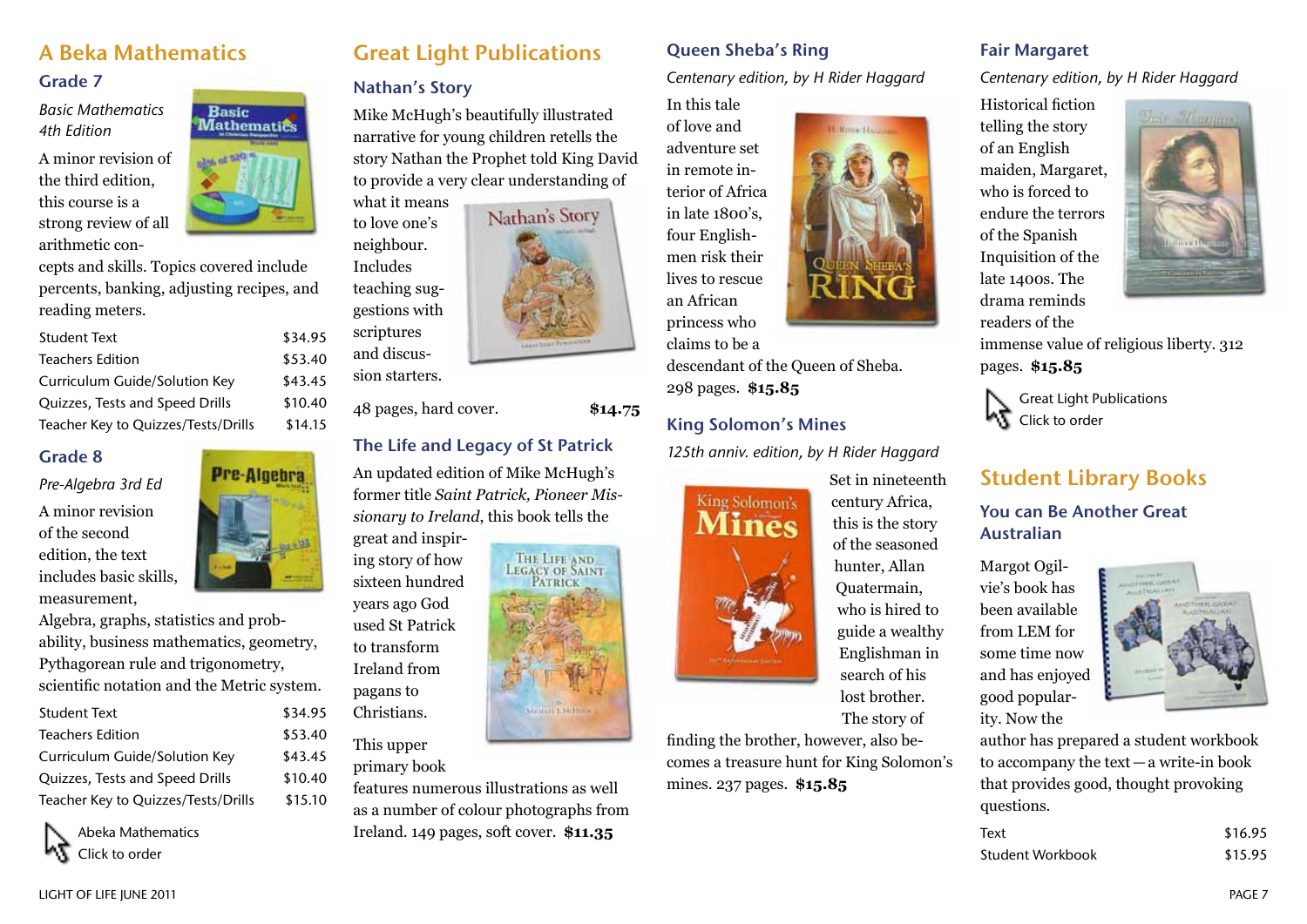## A Beka Mathematics

### Grade 7

*Basic Mathematics 4th Edition*

A minor revision of the third edition, this course is a strong review of all arithmetic con-



cepts and skills. Topics covered include

| cepis and skins. Topics covercu include   |
|-------------------------------------------|
| percents, banking, adjusting recipes, and |
| reading meters.                           |

| <b>Student Text</b>                 | \$34.95 |
|-------------------------------------|---------|
| <b>Teachers Edition</b>             | \$53.40 |
| Curriculum Guide/Solution Key       | \$43.45 |
| Quizzes, Tests and Speed Drills     | \$10.40 |
| Teacher Key to Quizzes/Tests/Drills | \$14.15 |
|                                     |         |

### Grade 8

*Pre-Algebra 3rd Ed* A minor revision of the second edition, the text includes basic skills, measurement,



Algebra, graphs, statistics and probability, business mathematics, geometry, Pythagorean rule and trigonometry, scientific notation and the Metric system.

| <b>Student Text</b>                 | \$34.95 |
|-------------------------------------|---------|
| <b>Teachers Edition</b>             | \$53.40 |
| Curriculum Guide/Solution Key       | \$43.45 |
| Quizzes, Tests and Speed Drills     | \$10.40 |
| Teacher Key to Quizzes/Tests/Drills | \$15.10 |
|                                     |         |



# Great Light Publications

### Nathan's Story

Mike McHugh's beautifully illustrated narrative for young children retells the story Nathan the Prophet told King David to provide a very clear understanding of

what it means Nathan's Story to love one's neighbour. Includes teaching suggestions with scriptures and discus-

sion starters.

48 pages, hard cover. **\$14.75**

### The Life and Legacy of St Patrick

An updated edition of Mike McHugh's former title *Saint Patrick, Pioneer Missionary to Ireland*, this book tells the

> THE LIFE AND LEGACY OF SAINT **PATRICK**

> > Michan LMcBiss

great and inspiring story of how sixteen hundred years ago God used St Patrick to transform Ireland from pagans to Christians.

primary book

This upper

features numerous illustrations as well as a number of colour photographs from Ireland. 149 pages, soft cover. **\$11.35**

### Queen Sheba's Ring

### *Centenary edition, by H Rider Haggard*

Literan Hand

In this tale of love and adventure set in remote interior of Africa in late 1800's, four Englishmen risk their lives to rescue an African princess who claims to be a

descendant of the Queen of Sheba. 298 pages. **\$15.85**

### King Solomon's Mines

*125th anniv. edition, by H Rider Haggard*



century Africa, this is the story of the seasoned hunter, Allan Quatermain, who is hired to guide a wealthy Englishman in search of his lost brother. The story of

finding the brother, however, also becomes a treasure hunt for King Solomon's mines. 237 pages. **\$15.85**

### Fair Margaret

*Centenary edition, by H Rider Haggard*

Historical fiction telling the story of an English maiden, Margaret, who is forced to endure the terrors of the Spanish Inquisition of the late 1400s. The drama reminds readers of the



immense value of religious liberty. 312 pages. **\$15.85**



# Student Library Books

### You can Be Another Great Australian

Margot Ogilvie's book has been available from LEM for some time now and has enjoyed good popularity. Now the



author has prepared a student workbook to accompany the text—a write-in book that provides good, thought provoking questions.

| Text             | \$16.95 |
|------------------|---------|
| Student Workbook | \$15.95 |

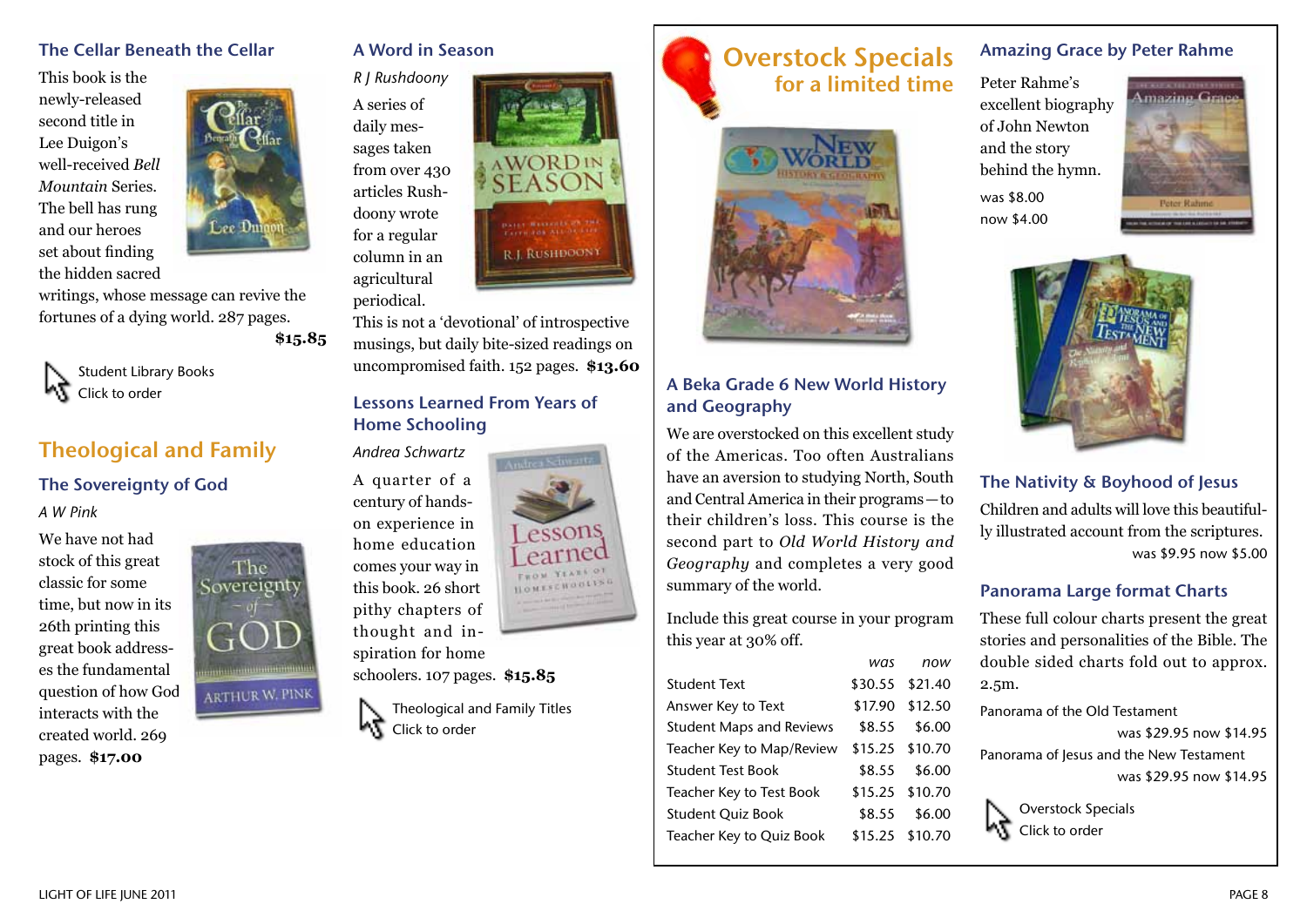### The Cellar Beneath the Cellar

This book is the newly-released second title in Lee Duigon's well-received *Bell Mountain* Series. The bell has rung and our heroes set about finding the hidden sacred





**\$15.85**



### Theological and Family

The Sovereignty of God

#### *A W Pink*

We have not had stock of this great classic for some time, but now in its 26th printing this great book addresses the fundamental question of how God interacts with the created world. 269 pages. **\$17.00**



### A Word in Season

*R J Rushdoony* A series of daily messages taken AWORD IN from over 430 articles Rushdoony wrote for a regular column in an



This is not a 'devotional' of introspective musings, but daily bite-sized readings on uncompromised faith. 152 pages. **\$13.60**

**R.I. RUSHDOONT** 

 $ssot$ 

### Lessons Learned From Years of Home Schooling

A quarter of a century of handson experience in home education comes your way in this book. 26 short pithy chapters of thought and inspiration for home

*Andrea Schwartz*

schoolers. 107 pages. **\$15.85**

Theological and Family Titles Click to order





### A Beka Grade 6 New World History and Geography

We are overstocked on this excellent study of the Americas. Too often Australians have an aversion to studying North, South and Central America in their programs—to their children's loss. This course is the second part to *Old World History and Geography* and completes a very good summary of the world.

Include this great course in your program this year at 30% off.

|                                 | was    | now             |
|---------------------------------|--------|-----------------|
| <b>Student Text</b>             |        | \$30.55 \$21.40 |
| Answer Key to Text              |        | \$17.90 \$12.50 |
| <b>Student Maps and Reviews</b> | \$8.55 | \$6.00          |
| Teacher Key to Map/Review       |        | \$15.25 \$10.70 |
| <b>Student Test Book</b>        | \$8.55 | \$6.00          |
| Teacher Key to Test Book        |        | \$15.25 \$10.70 |
| <b>Student Quiz Book</b>        | \$8.55 | \$6.00          |
| Teacher Key to Quiz Book        |        | \$15.25 \$10.70 |

### Amazing Grace by Peter Rahme

Peter Rahme's excellent biography of John Newton and the story behind the hymn. was \$8.00 now \$4.00





### The Nativity & Boyhood of Jesus

Children and adults will love this beautifully illustrated account from the scriptures. was \$9.95 now \$5.00

### Panorama Large format Charts

These full colour charts present the great stories and personalities of the Bible. The double sided charts fold out to approx. 2.5m.

Panorama of the Old Testament

was \$29.95 now \$14.95 Panorama of Jesus and the New Testament was \$29.95 now \$14.95